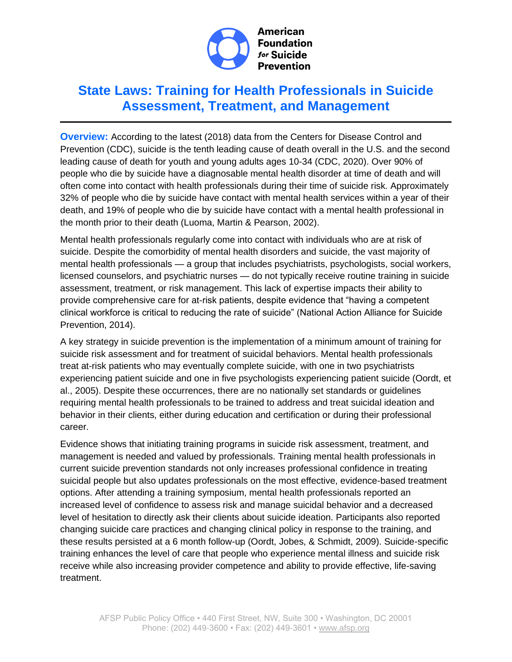

# **State Laws: Training for Health Professionals in Suicide Assessment, Treatment, and Management**

**Overview:** According to the latest (2018) data from the Centers for Disease Control and Prevention (CDC), suicide is the tenth leading cause of death overall in the U.S. and the second leading cause of death for youth and young adults ages 10-34 (CDC, 2020). Over 90% of people who die by suicide have a diagnosable mental health disorder at time of death and will often come into contact with health professionals during their time of suicide risk. Approximately 32% of people who die by suicide have contact with mental health services within a year of their death, and 19% of people who die by suicide have contact with a mental health professional in the month prior to their death (Luoma, Martin & Pearson, 2002).

Mental health professionals regularly come into contact with individuals who are at risk of suicide. Despite the comorbidity of mental health disorders and suicide, the vast majority of mental health professionals — a group that includes psychiatrists, psychologists, social workers, licensed counselors, and psychiatric nurses — do not typically receive routine training in suicide assessment, treatment, or risk management. This lack of expertise impacts their ability to provide comprehensive care for at-risk patients, despite evidence that "having a competent clinical workforce is critical to reducing the rate of suicide" (National Action Alliance for Suicide Prevention, 2014).

A key strategy in suicide prevention is the implementation of a minimum amount of training for suicide risk assessment and for treatment of suicidal behaviors. Mental health professionals treat at-risk patients who may eventually complete suicide, with one in two psychiatrists experiencing patient suicide and one in five psychologists experiencing patient suicide (Oordt, et al., 2005). Despite these occurrences, there are no nationally set standards or guidelines requiring mental health professionals to be trained to address and treat suicidal ideation and behavior in their clients, either during education and certification or during their professional career.

Evidence shows that initiating training programs in suicide risk assessment, treatment, and management is needed and valued by professionals. Training mental health professionals in current suicide prevention standards not only increases professional confidence in treating suicidal people but also updates professionals on the most effective, evidence-based treatment options. After attending a training symposium, mental health professionals reported an increased level of confidence to assess risk and manage suicidal behavior and a decreased level of hesitation to directly ask their clients about suicide ideation. Participants also reported changing suicide care practices and changing clinical policy in response to the training, and these results persisted at a 6 month follow-up (Oordt, Jobes, & Schmidt, 2009). Suicide-specific training enhances the level of care that people who experience mental illness and suicide risk receive while also increasing provider competence and ability to provide effective, life-saving treatment.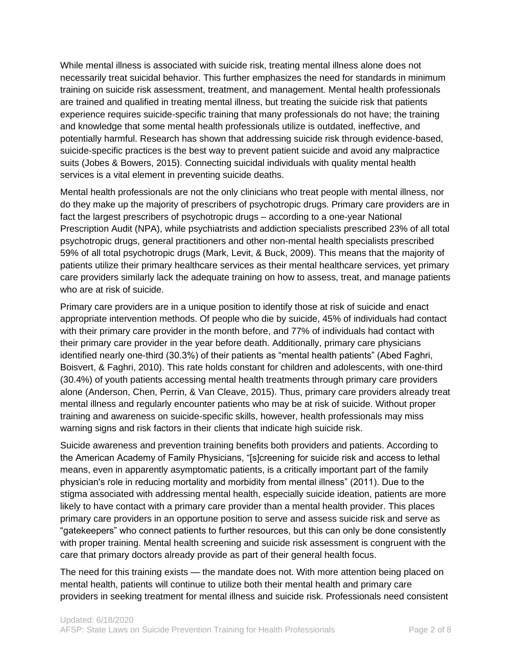While mental illness is associated with suicide risk, treating mental illness alone does not necessarily treat suicidal behavior. This further emphasizes the need for standards in minimum training on suicide risk assessment, treatment, and management. Mental health professionals are trained and qualified in treating mental illness, but treating the suicide risk that patients experience requires suicide-specific training that many professionals do not have; the training and knowledge that some mental health professionals utilize is outdated, ineffective, and potentially harmful. Research has shown that addressing suicide risk through evidence-based, suicide-specific practices is the best way to prevent patient suicide and avoid any malpractice suits (Jobes & Bowers, 2015). Connecting suicidal individuals with quality mental health services is a vital element in preventing suicide deaths.

Mental health professionals are not the only clinicians who treat people with mental illness, nor do they make up the majority of prescribers of psychotropic drugs. Primary care providers are in fact the largest prescribers of psychotropic drugs – according to a one-year National Prescription Audit (NPA), while psychiatrists and addiction specialists prescribed 23% of all total psychotropic drugs, general practitioners and other non-mental health specialists prescribed 59% of all total psychotropic drugs (Mark, Levit, & Buck, 2009). This means that the majority of patients utilize their primary healthcare services as their mental healthcare services, yet primary care providers similarly lack the adequate training on how to assess, treat, and manage patients who are at risk of suicide.

Primary care providers are in a unique position to identify those at risk of suicide and enact appropriate intervention methods. Of people who die by suicide, 45% of individuals had contact with their primary care provider in the month before, and 77% of individuals had contact with their primary care provider in the year before death. Additionally, primary care physicians identified nearly one-third (30.3%) of their patients as "mental health patients" (Abed Faghri, Boisvert, & Faghri, 2010). This rate holds constant for children and adolescents, with one-third (30.4%) of youth patients accessing mental health treatments through primary care providers alone (Anderson, Chen, Perrin, & Van Cleave, 2015). Thus, primary care providers already treat mental illness and regularly encounter patients who may be at risk of suicide. Without proper training and awareness on suicide-specific skills, however, health professionals may miss warning signs and risk factors in their clients that indicate high suicide risk.

Suicide awareness and prevention training benefits both providers and patients. According to the American Academy of Family Physicians, "[s]creening for suicide risk and access to lethal means, even in apparently asymptomatic patients, is a critically important part of the family physician's role in reducing mortality and morbidity from mental illness" (2011). Due to the stigma associated with addressing mental health, especially suicide ideation, patients are more likely to have contact with a primary care provider than a mental health provider. This places primary care providers in an opportune position to serve and assess suicide risk and serve as "gatekeepers" who connect patients to further resources, but this can only be done consistently with proper training. Mental health screening and suicide risk assessment is congruent with the care that primary doctors already provide as part of their general health focus.

The need for this training exists — the mandate does not. With more attention being placed on mental health, patients will continue to utilize both their mental health and primary care providers in seeking treatment for mental illness and suicide risk. Professionals need consistent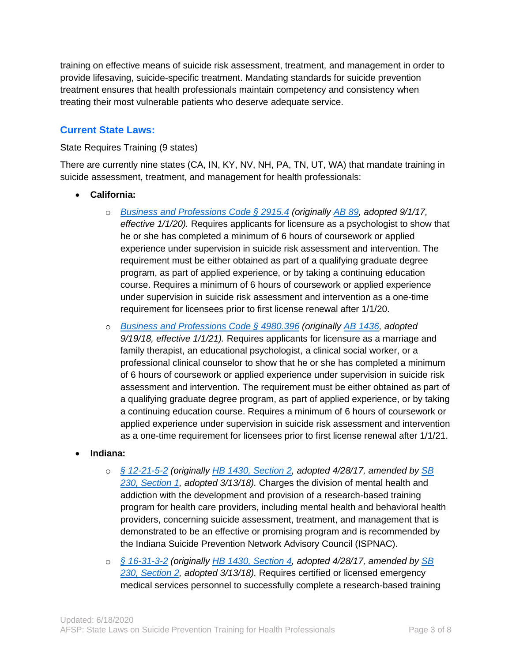training on effective means of suicide risk assessment, treatment, and management in order to provide lifesaving, suicide-specific treatment. Mandating standards for suicide prevention treatment ensures that health professionals maintain competency and consistency when treating their most vulnerable patients who deserve adequate service.

## **Current State Laws:**

#### State Requires Training (9 states)

There are currently nine states (CA, IN, KY, NV, NH, PA, TN, UT, WA) that mandate training in suicide assessment, treatment, and management for health professionals:

- **California:**
	- o *[Business and Professions Code § 2915.4](https://leginfo.legislature.ca.gov/faces/codes_displaySection.xhtml?lawCode=BPC§ionNum=2915.4.) (originally [AB 89,](https://legiscan.com/CA/text/AB89/2017) adopted 9/1/17, effective 1/1/20).* Requires applicants for licensure as a psychologist to show that he or she has completed a minimum of 6 hours of coursework or applied experience under supervision in suicide risk assessment and intervention. The requirement must be either obtained as part of a qualifying graduate degree program, as part of applied experience, or by taking a continuing education course. Requires a minimum of 6 hours of coursework or applied experience under supervision in suicide risk assessment and intervention as a one-time requirement for licensees prior to first license renewal after 1/1/20.
	- o *[Business and Professions Code § 4980.396](https://leginfo.legislature.ca.gov/faces/codes_displaySection.xhtml?lawCode=BPC§ionNum=4980.396.) (originally [AB 1436,](https://leginfo.legislature.ca.gov/faces/billCompareClient.xhtml?bill_id=201720180AB1436) adopted 9/19/18, effective 1/1/21).* Requires applicants for licensure as a marriage and family therapist, an educational psychologist, a clinical social worker, or a professional clinical counselor to show that he or she has completed a minimum of 6 hours of coursework or applied experience under supervision in suicide risk assessment and intervention. The requirement must be either obtained as part of a qualifying graduate degree program, as part of applied experience, or by taking a continuing education course. Requires a minimum of 6 hours of coursework or applied experience under supervision in suicide risk assessment and intervention as a one-time requirement for licensees prior to first license renewal after 1/1/21.
- **Indiana:** 
	- o *[§ 12-21-5-2](http://iga.in.gov/legislative/laws/2018/ic/titles/012#12-21-5-2) (originally [HB 1430, Section 2,](https://iga.in.gov/legislative/2017/bills/house/1430#document-6045e31d) adopted 4/28/17, amended by [SB](https://s3.amazonaws.com/fn-document-service/file-by-sha384/512e0f0bb68677be84a57e2ced13c4bf23ccb1478769c7b6563e1ebeeabbecfb8b5d0e3f4c768f09963af486f6d412ed)  [230, Section 1,](https://s3.amazonaws.com/fn-document-service/file-by-sha384/512e0f0bb68677be84a57e2ced13c4bf23ccb1478769c7b6563e1ebeeabbecfb8b5d0e3f4c768f09963af486f6d412ed) adopted 3/13/18).* Charges the division of mental health and addiction with the development and provision of a research-based training program for health care providers, including mental health and behavioral health providers, concerning suicide assessment, treatment, and management that is demonstrated to be an effective or promising program and is recommended by the Indiana Suicide Prevention Network Advisory Council (ISPNAC).
	- o *[§ 16-31-3-2](http://iga.in.gov/legislative/laws/2018/ic/titles/016#16-31-3-2) (originally [HB 1430, Section 4,](https://iga.in.gov/legislative/2017/bills/house/1430#document-6045e31d) adopted 4/28/17, amended by [SB](https://s3.amazonaws.com/fn-document-service/file-by-sha384/512e0f0bb68677be84a57e2ced13c4bf23ccb1478769c7b6563e1ebeeabbecfb8b5d0e3f4c768f09963af486f6d412ed)  [230, Section 2,](https://s3.amazonaws.com/fn-document-service/file-by-sha384/512e0f0bb68677be84a57e2ced13c4bf23ccb1478769c7b6563e1ebeeabbecfb8b5d0e3f4c768f09963af486f6d412ed) adopted 3/13/18).* Requires certified or licensed emergency medical services personnel to successfully complete a research-based training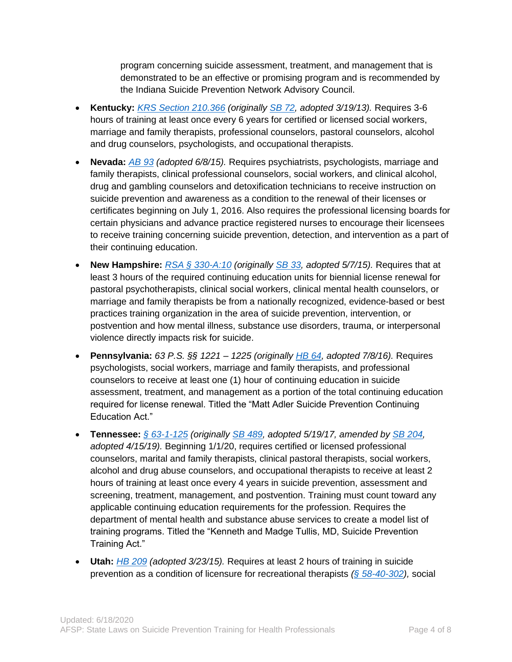program concerning suicide assessment, treatment, and management that is demonstrated to be an effective or promising program and is recommended by the Indiana Suicide Prevention Network Advisory Council.

- **Kentucky:** *[KRS Section 210.366](http://www.lrc.ky.gov/Statutes/statute.aspx?id=43260) (originally [SB 72,](http://www.lrc.ky.gov/record/13rs/sb72.htm) adopted 3/19/13).* Requires 3-6 hours of training at least once every 6 years for certified or licensed social workers, marriage and family therapists, professional counselors, pastoral counselors, alcohol and drug counselors, psychologists, and occupational therapists.
- **Nevada:** *[AB 93](https://www.leg.state.nv.us/Session/78th2015/Bills/AB/AB93_EN.pdf) (adopted 6/8/15).* Requires psychiatrists, psychologists, marriage and family therapists, clinical professional counselors, social workers, and clinical alcohol, drug and gambling counselors and detoxification technicians to receive instruction on suicide prevention and awareness as a condition to the renewal of their licenses or certificates beginning on July 1, 2016. Also requires the professional licensing boards for certain physicians and advance practice registered nurses to encourage their licensees to receive training concerning suicide prevention, detection, and intervention as a part of their continuing education.
- **New Hampshire:** *[RSA § 330-A:10](http://www.gencourt.state.nh.us/rsa/html/XXX/330-A/330-A-10.htm) (originally [SB 33,](http://www.gencourt.state.nh.us/legislation/2015/sb0033.html) adopted 5/7/15).* Requires that at least 3 hours of the required continuing education units for biennial license renewal for pastoral psychotherapists, clinical social workers, clinical mental health counselors, or marriage and family therapists be from a nationally recognized, evidence-based or best practices training organization in the area of suicide prevention, intervention, or postvention and how mental illness, substance use disorders, trauma, or interpersonal violence directly impacts risk for suicide.
- **Pennsylvania:** *63 P.S. §§ 1221 – 1225 (originally [HB 64,](http://www.legis.state.pa.us/cfdocs/legis/li/uconsCheck.cfm?yr=2016&sessInd=0&act=74) adopted 7/8/16).* Requires psychologists, social workers, marriage and family therapists, and professional counselors to receive at least one (1) hour of continuing education in suicide assessment, treatment, and management as a portion of the total continuing education required for license renewal. Titled the "Matt Adler Suicide Prevention Continuing Education Act."
- **Tennessee:** *[§ 63-1-125](https://advance.lexis.com/documentpage/?pdmfid=1000516&crid=c54338db-56dc-4f98-8fc0-fcac5524a8f7&nodeid=ACKAABAABAAZ&nodepath=%2FROOT%2FACK%2FACKAAB%2FACKAABAAB%2FACKAABAABAAZ&level=4&haschildren=&populated=false&title=63-1-125.+Kenneth+and+Madge+Tullis%2C+MD%2C+Suicide+Prevention+Training+Act.&config=025054JABlOTJjNmIyNi0wYjI0LTRjZGEtYWE5ZC0zNGFhOWNhMjFlNDgKAFBvZENhdGFsb2cDFQ14bX2GfyBTaI9WcPX5&pddocfullpath=%2Fshared%2Fdocument%2Fstatutes-legislation%2Furn%3AcontentItem%3A5NS0-4Y00-R03M-72FS-00008-00&ecomp=k5v8kkk&prid=a3ea4c82-e8ed-4a0a-b297-a611f7175716) (originally [SB 489,](http://publications.tnsosfiles.com/acts/110/pub/pc0396.pdf) adopted 5/19/17, amended by [SB 204,](http://www.capitol.tn.gov/Bills/111/Bill/SB0204.pdf) adopted 4/15/19).* Beginning 1/1/20, requires certified or licensed professional counselors, marital and family therapists, clinical pastoral therapists, social workers, alcohol and drug abuse counselors, and occupational therapists to receive at least 2 hours of training at least once every 4 years in suicide prevention, assessment and screening, treatment, management, and postvention. Training must count toward any applicable continuing education requirements for the profession. Requires the department of mental health and substance abuse services to create a model list of training programs. Titled the "Kenneth and Madge Tullis, MD, Suicide Prevention Training Act."
- **Utah:** *[HB 209](http://le.utah.gov/~2015/bills/static/HB0209.html#58-40-302) (adopted 3/23/15).* Requires at least 2 hours of training in suicide prevention as a condition of licensure for recreational therapists *[\(§ 58-40-302\)](https://le.utah.gov/xcode/Title58/Chapter40/58-40-S302.html?v=C58-40-S302_2015051220150512),* social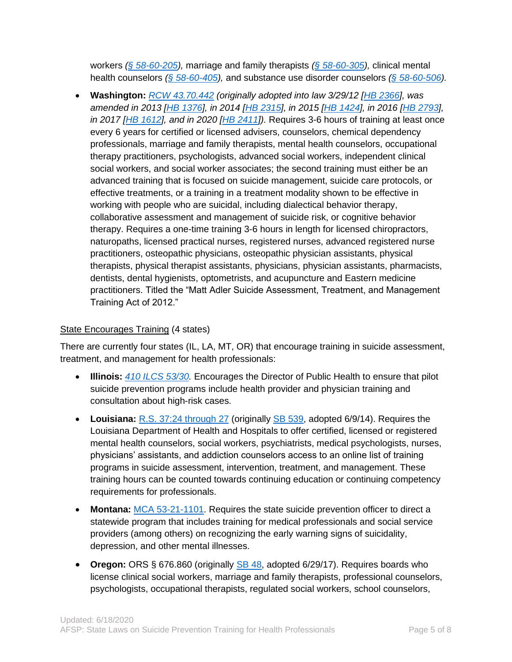workers *[\(§ 58-60-205\)](https://le.utah.gov/xcode/Title58/Chapter60/58-60-S205.html?v=C58-60-S205_2019051420190514),* marriage and family therapists *[\(§ 58-60-305\)](https://le.utah.gov/xcode/Title58/Chapter60/58-60-S305.html?v=C58-60-S305_2019051420190514),* clinical mental health counselors *[\(§ 58-60-405\)](https://le.utah.gov/xcode/Title58/Chapter60/58-60-S405.html?v=C58-60-S405_2015051220150512),* and substance use disorder counselors *[\(§ 58-60-506\)](https://le.utah.gov/xcode/Title58/Chapter60/58-60-S506.html?v=C58-60-S506_2015051220150512).*

• **Washington:** *[RCW 43.70.442](http://app.leg.wa.gov/rcw/default.aspx?cite=43.70.442) (originally adopted into law 3/29/12 [\[HB 2366\]](http://apps.leg.wa.gov/documents/billdocs/2011-12/Pdf/Bills/Session%20Laws/House/2366-S.SL.pdf), was amended in 2013 [\[HB 1376\]](http://apps.leg.wa.gov/documents/billdocs/2013-14/Pdf/Bills/Session%20Laws/House/1376-S.SL.pdf), in 2014 [\[HB 2315\]](http://apps.leg.wa.gov/documents/billdocs/2013-14/Pdf/Bills/Session%20Laws/House/2315-S.SL.pdf), in 2015 [\[HB 1424\]](http://lawfilesext.leg.wa.gov/biennium/2015-16/Pdf/Bills/Session%20Laws/House/1424-S.SL.pdf), in 2016 [\[HB 2793\]](http://lawfilesext.leg.wa.gov/biennium/2015-16/Pdf/Bills/Session%20Laws/House/2793-S2.SL.pdf), in 2017 [\[HB 1612\]](http://lawfilesext.leg.wa.gov/biennium/2017-18/Pdf/Bills/Session%20Laws/House/1612-S2.SL.pdf), and in 2020 [\[HB 2411\]](http://lawfilesext.leg.wa.gov/biennium/2019-20/Htm/Bills/Session%20Laws/House/2411-S.SL.htm)).* Requires 3-6 hours of training at least once every 6 years for certified or licensed advisers, counselors, chemical dependency professionals, marriage and family therapists, mental health counselors, occupational therapy practitioners, psychologists, advanced social workers, independent clinical social workers, and social worker associates; the second training must either be an advanced training that is focused on suicide management, suicide care protocols, or effective treatments, or a training in a treatment modality shown to be effective in working with people who are suicidal, including dialectical behavior therapy, collaborative assessment and management of suicide risk, or cognitive behavior therapy. Requires a one-time training 3-6 hours in length for licensed chiropractors, naturopaths, licensed practical nurses, registered nurses, advanced registered nurse practitioners, osteopathic physicians, osteopathic physician assistants, physical therapists, physical therapist assistants, physicians, physician assistants, pharmacists, dentists, dental hygienists, optometrists, and acupuncture and Eastern medicine practitioners. Titled the "Matt Adler Suicide Assessment, Treatment, and Management Training Act of 2012."

#### State Encourages Training (4 states)

There are currently four states (IL, LA, MT, OR) that encourage training in suicide assessment, treatment, and management for health professionals:

- **Illinois:** *[410 ILCS 53/30.](http://www.ilga.gov/legislation/ilcs/fulltext.asp?DocName=041000530K30)* Encourages the Director of Public Health to ensure that pilot suicide prevention programs include health provider and physician training and consultation about high-risk cases.
- **Louisiana:** [R.S. 37:24 through 27](http://legis.la.gov/legis/Law.aspx?d=919631) (originally [SB 539,](http://www.legis.la.gov/legis/ViewDocument.aspx?d=913777) adopted 6/9/14). Requires the Louisiana Department of Health and Hospitals to offer certified, licensed or registered mental health counselors, social workers, psychiatrists, medical psychologists, nurses, physicians' assistants, and addiction counselors access to an online list of training programs in suicide assessment, intervention, treatment, and management. These training hours can be counted towards continuing education or continuing competency requirements for professionals.
- **Montana:** [MCA 53-21-1101.](http://leg.mt.gov/bills/mca/53/21/53-21-1101.htm) Requires the state suicide prevention officer to direct a statewide program that includes training for medical professionals and social service providers (among others) on recognizing the early warning signs of suicidality, depression, and other mental illnesses.
- **Oregon:** ORS § 676.860 (originally [SB 48,](https://olis.leg.state.or.us/liz/2017R1/Downloads/MeasureDocument/SB48) adopted 6/29/17). Requires boards who license clinical social workers, marriage and family therapists, professional counselors, psychologists, occupational therapists, regulated social workers, school counselors,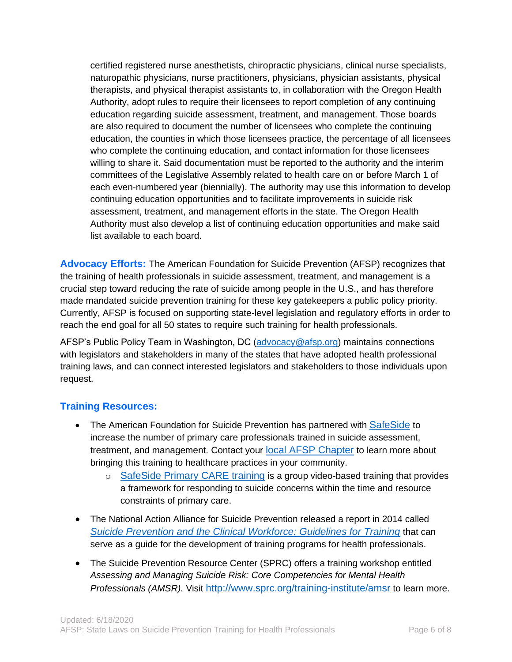certified registered nurse anesthetists, chiropractic physicians, clinical nurse specialists, naturopathic physicians, nurse practitioners, physicians, physician assistants, physical therapists, and physical therapist assistants to, in collaboration with the Oregon Health Authority, adopt rules to require their licensees to report completion of any continuing education regarding suicide assessment, treatment, and management. Those boards are also required to document the number of licensees who complete the continuing education, the counties in which those licensees practice, the percentage of all licensees who complete the continuing education, and contact information for those licensees willing to share it. Said documentation must be reported to the authority and the interim committees of the Legislative Assembly related to health care on or before March 1 of each even-numbered year (biennially). The authority may use this information to develop continuing education opportunities and to facilitate improvements in suicide risk assessment, treatment, and management efforts in the state. The Oregon Health Authority must also develop a list of continuing education opportunities and make said list available to each board.

**Advocacy Efforts:** The American Foundation for Suicide Prevention (AFSP) recognizes that the training of health professionals in suicide assessment, treatment, and management is a crucial step toward reducing the rate of suicide among people in the U.S., and has therefore made mandated suicide prevention training for these key gatekeepers a public policy priority. Currently, AFSP is focused on supporting state-level legislation and regulatory efforts in order to reach the end goal for all 50 states to require such training for health professionals.

AFSP's Public Policy Team in Washington, DC [\(advocacy@afsp.org\)](mailto:advocacy@afsp.org) maintains connections with legislators and stakeholders in many of the states that have adopted health professional training laws, and can connect interested legislators and stakeholders to those individuals upon request.

## **Training Resources:**

- The American Foundation for Suicide Prevention has partnered with [SafeSide](https://www.safesideprevention.com/) to increase the number of primary care professionals trained in suicide assessment, treatment, and management. Contact your [local AFSP Chapter](https://afsp.org/find-a-local-chapter/) to learn more about bringing this training to healthcare practices in your community.
	- o [SafeSide Primary CARE training](https://www.safesideprevention.com/programs/primary-care) is a group video-based training that provides a framework for responding to suicide concerns within the time and resource constraints of primary care.
- The National Action Alliance for Suicide Prevention released a report in 2014 called *[Suicide Prevention and the Clinical Workforce: Guidelines for Training](http://actionallianceforsuicideprevention.org/sites/actionallianceforsuicideprevention.org/files/Guidelines.pdf)* that can serve as a guide for the development of training programs for health professionals.
- The Suicide Prevention Resource Center (SPRC) offers a training workshop entitled *Assessing and Managing Suicide Risk: Core Competencies for Mental Health Professionals (AMSR).* Visit <http://www.sprc.org/training-institute/amsr> to learn more.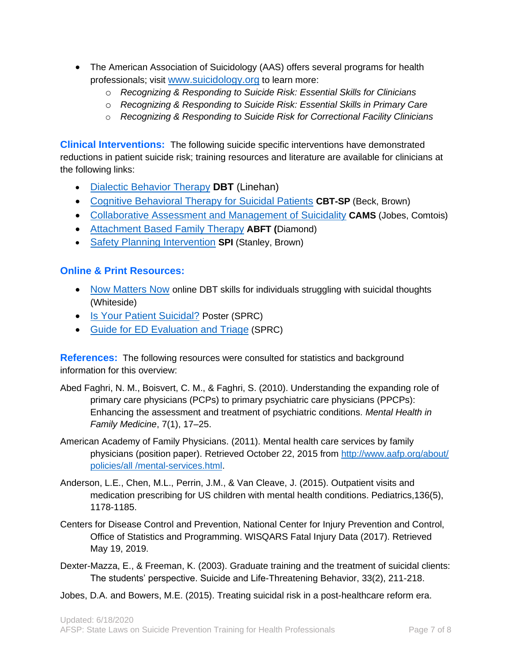- The American Association of Suicidology (AAS) offers several programs for health professionals; visit [www.suicidology.org](http://www.suicidology.org/) to learn more:
	- o *Recognizing & Responding to Suicide Risk: Essential Skills for Clinicians*
	- o *Recognizing & Responding to Suicide Risk: Essential Skills in Primary Care*
	- o *Recognizing & Responding to Suicide Risk for Correctional Facility Clinicians*

**Clinical Interventions:** The following suicide specific interventions have demonstrated reductions in patient suicide risk; training resources and literature are available for clinicians at the following links:

- [Dialectic Behavior Therapy](http://behavioraltech.org/index.cfm) **DBT** (Linehan)
- [Cognitive Behavioral Therapy for Suicidal Patients](http://www.apa.org/pubs/books/4317169.aspx?tab=2) **CBT-SP** (Beck, Brown)
- [Collaborative Assessment and Management of Suicidality](http://cams-care.com/) **CAMS** (Jobes, Comtois)
- [Attachment Based Family Therapy](http://cams-care.com/) **ABFT (**Diamond)
- [Safety Planning Intervention](http://www.sprc.org/library_resources/items/safety-planning-guide-quick-guide-clinicians) **SPI** (Stanley, Brown)

### **Online & Print Resources:**

- [Now Matters Now](http://www.nowmattersnow.org/) online DBT skills for individuals struggling with suicidal thoughts (Whiteside)
- [Is Your Patient Suicidal?](http://www.sprc.org/sites/sprc.org/files/library/ER_SuicideRiskPosterVert2.pdf) Poster (SPRC)
- [Guide for ED Evaluation and Triage](http://www.sprc.org/sites/sprc.org/files/library/ER_SuicideRiskGuide8.pdf) (SPRC)

**References:** The following resources were consulted for statistics and background information for this overview:

- Abed Faghri, N. M., Boisvert, C. M., & Faghri, S. (2010). Understanding the expanding role of primary care physicians (PCPs) to primary psychiatric care physicians (PPCPs): Enhancing the assessment and treatment of psychiatric conditions. *Mental Health in Family Medicine*, 7(1), 17–25.
- American Academy of Family Physicians. (2011). Mental health care services by family physicians (position paper). Retrieved October 22, 2015 from [http://www.aafp.org/about/](http://www.aafp.org/about/policies/all/mental-services.html) policies/all [/mental-services.html.](http://www.aafp.org/about/policies/all/mental-services.html)
- Anderson, L.E., Chen, M.L., Perrin, J.M., & Van Cleave, J. (2015). Outpatient visits and medication prescribing for US children with mental health conditions. Pediatrics,136(5), 1178-1185.
- Centers for Disease Control and Prevention, National Center for Injury Prevention and Control, Office of Statistics and Programming. WISQARS Fatal Injury Data (2017). Retrieved May 19, 2019.
- Dexter-Mazza, E., & Freeman, K. (2003). Graduate training and the treatment of suicidal clients: The students' perspective. Suicide and Life-Threatening Behavior, 33(2), 211-218.
- Jobes, D.A. and Bowers, M.E. (2015). Treating suicidal risk in a post-healthcare reform era.